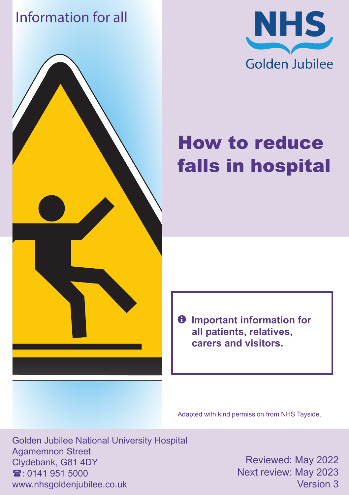### Information for all





# How to reduce falls in hospital

 $\theta$  Important information for **all patients, relatives, carers and visitors.**

Adapted with kind permission from NHS Tayside.

Golden Jubilee National University Hospital Agamemnon Street Clydebank, G81 4DY  $\mathbf{\hat{x}}$  0141 951 5000 www.nhsgoldenjubilee.co.uk

Reviewed: May 2022 Next review: May 2023 Version 3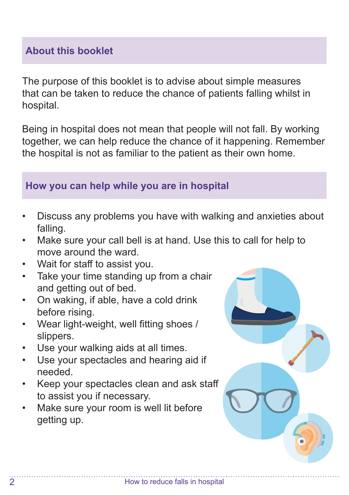#### **About this booklet**

The purpose of this booklet is to advise about simple measures that can be taken to reduce the chance of patients falling whilst in hospital.

Being in hospital does not mean that people will not fall. By working together, we can help reduce the chance of it happening. Remember the hospital is not as familiar to the patient as their own home.

#### **How you can help while you are in hospital**

- Discuss any problems you have with walking and anxieties about falling.
- Make sure your call bell is at hand. Use this to call for help to move around the ward.
- Wait for staff to assist you.
- Take your time standing up from a chair and getting out of bed.
- On waking, if able, have a cold drink before rising.
- Wear light-weight, well fitting shoes / slippers.
- Use your walking aids at all times.
- Use your spectacles and hearing aid if needed.
- Keep your spectacles clean and ask staff to assist you if necessary.
- Make sure your room is well lit before getting up.

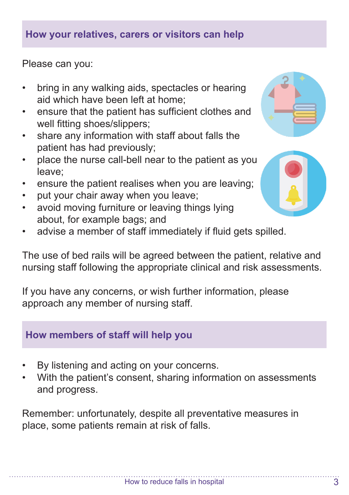#### **How your relatives, carers or visitors can help**

Please can you:

- bring in any walking aids, spectacles or hearing aid which have been left at home;
- ensure that the patient has sufficient clothes and well fitting shoes/slippers;
- share any information with staff about falls the patient has had previously;
- place the nurse call-bell near to the patient as you leave;
- ensure the patient realises when you are leaving;
- put your chair away when you leave;
- avoid moving furniture or leaving things lying about, for example bags; and
- advise a member of staff immediately if fluid gets spilled.

The use of bed rails will be agreed between the patient, relative and nursing staff following the appropriate clinical and risk assessments.

If you have any concerns, or wish further information, please approach any member of nursing staff.

#### **How members of staff will help you**

- By listening and acting on your concerns.
- With the patient's consent, sharing information on assessments and progress.

Remember: unfortunately, despite all preventative measures in place, some patients remain at risk of falls.